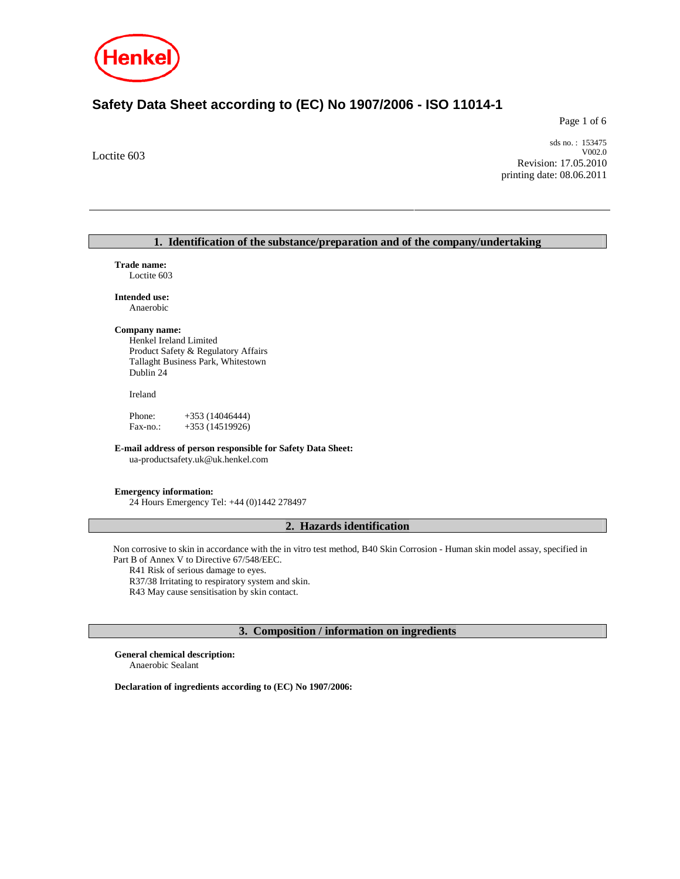

# **Safety Data Sheet according to (EC) No 1907/2006 - ISO 11014-1**

Page 1 of 6

Loctite 603

sds no. : 153475 V002.0 Revision: 17.05.2010 printing date: 08.06.2011

# **1. Identification of the substance/preparation and of the company/undertaking Trade name:**  Loctite 603 **Intended use:**  Anaerobic **Company name:**  Henkel Ireland Limited Product Safety & Regulatory Affairs Tallaght Business Park, Whitestown Dublin 24 Ireland Phone: +353 (14046444) Fax-no.: +353 (14519926) **E-mail address of person responsible for Safety Data Sheet:**  ua-productsafety.uk@uk.henkel.com **Emergency information:**  24 Hours Emergency Tel: +44 (0)1442 278497 **2. Hazards identification**

Non corrosive to skin in accordance with the in vitro test method, B40 Skin Corrosion - Human skin model assay, specified in Part B of Annex V to Directive 67/548/EEC.

R41 Risk of serious damage to eyes.

R37/38 Irritating to respiratory system and skin.

R43 May cause sensitisation by skin contact.

# **3. Composition / information on ingredients**

**General chemical description:**  Anaerobic Sealant

**Declaration of ingredients according to (EC) No 1907/2006:**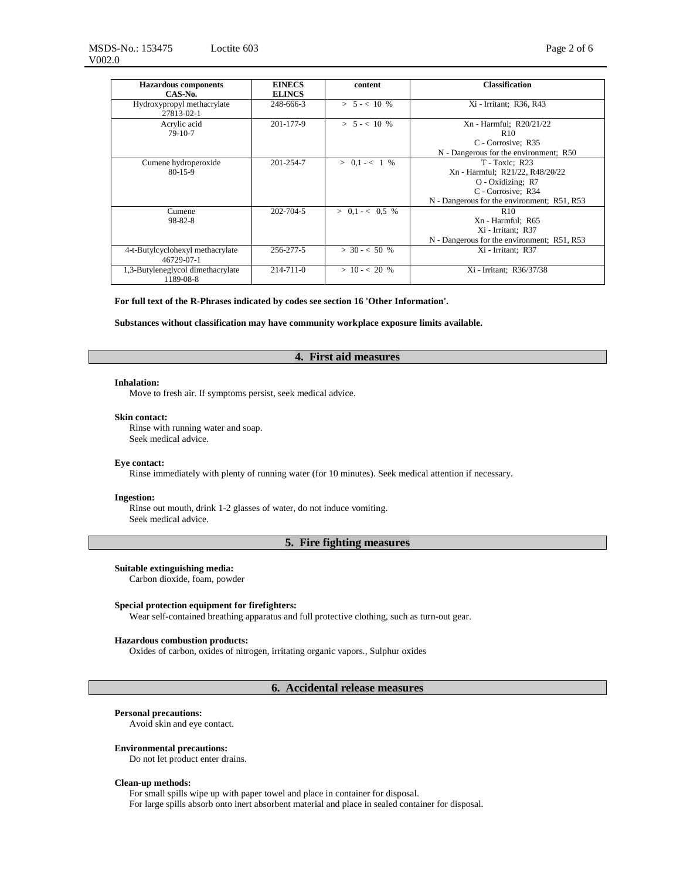MSDS-No.: 153475 V002.0 Loctite 603 Page 2 of 6

| <b>Hazardous</b> components<br>CAS-No.         | <b>EINECS</b><br><b>ELINCS</b> | content           | <b>Classification</b>                                                                                                                       |
|------------------------------------------------|--------------------------------|-------------------|---------------------------------------------------------------------------------------------------------------------------------------------|
| Hydroxypropyl methacrylate<br>27813-02-1       | 248-666-3                      | $> 5 - < 10 %$    | Xi - Irritant; R36, R43                                                                                                                     |
| Acrylic acid<br>$79-10-7$                      | 201-177-9                      | $> 5 - < 10 %$    | Xn - Harmful; R20/21/22<br>R <sub>10</sub><br>C - Corrosive; R35<br>N - Dangerous for the environment; R50                                  |
| Cumene hydroperoxide<br>$80 - 15 - 9$          | 201-254-7                      | $> 0.1 - < 1\%$   | T - Toxic: R23<br>Xn - Harmful; R21/22, R48/20/22<br>O - Oxidizing; R7<br>C - Corrosive: R34<br>N - Dangerous for the environment; R51, R53 |
| Cumene<br>98-82-8                              | 202-704-5                      | $> 0.1 - < 0.5$ % | R <sub>10</sub><br>Xn - Harmful: R65<br>Xi - Irritant: R37<br>N - Dangerous for the environment; R51, R53                                   |
| 4-t-Butylcyclohexyl methacrylate<br>46729-07-1 | 256-277-5                      | $> 30 - 50 %$     | Xi - Irritant: R37                                                                                                                          |
| 1,3-Butyleneglycol dimethacrylate<br>1189-08-8 | $214 - 711 - 0$                | $> 10 - < 20$ %   | Xi - Irritant: R36/37/38                                                                                                                    |

**For full text of the R-Phrases indicated by codes see section 16 'Other Information'.**

**Substances without classification may have community workplace exposure limits available.**

# **4. First aid measures**

#### **Inhalation:**

Move to fresh air. If symptoms persist, seek medical advice.

#### **Skin contact:**

Rinse with running water and soap. Seek medical advice.

# **Eye contact:**

Rinse immediately with plenty of running water (for 10 minutes). Seek medical attention if necessary.

### **Ingestion:**

Rinse out mouth, drink 1-2 glasses of water, do not induce vomiting. Seek medical advice.

# **5. Fire fighting measures**

## **Suitable extinguishing media:**

Carbon dioxide, foam, powder

### **Special protection equipment for firefighters:**

Wear self-contained breathing apparatus and full protective clothing, such as turn-out gear.

## **Hazardous combustion products:**

Oxides of carbon, oxides of nitrogen, irritating organic vapors., Sulphur oxides

# **6. Accidental release measures**

## **Personal precautions:**

Avoid skin and eye contact.

### **Environmental precautions:**

Do not let product enter drains.

### **Clean-up methods:**

For small spills wipe up with paper towel and place in container for disposal. For large spills absorb onto inert absorbent material and place in sealed container for disposal.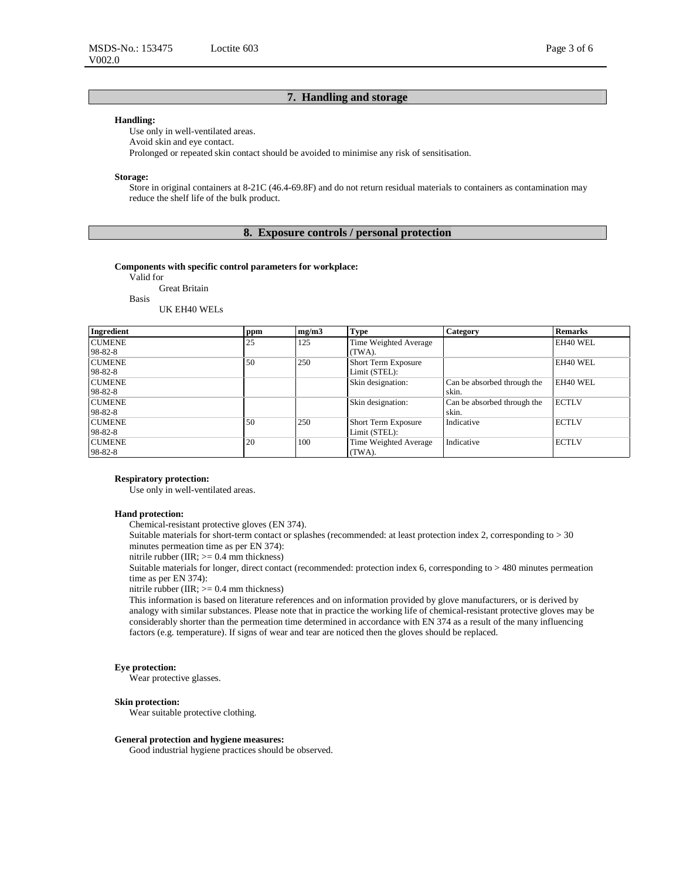## **Handling:**

Use only in well-ventilated areas. Avoid skin and eye contact. Prolonged or repeated skin contact should be avoided to minimise any risk of sensitisation.

#### **Storage:**

Store in original containers at 8-21C (46.4-69.8F) and do not return residual materials to containers as contamination may reduce the shelf life of the bulk product.

# **8. Exposure controls / personal protection**

### **Components with specific control parameters for workplace:**

Valid for

Great Britain Basis

UK EH40 WELs

| Ingredient    | ppm | mg/m3 | <b>Type</b>                | <b>Category</b>             | <b>Remarks</b> |
|---------------|-----|-------|----------------------------|-----------------------------|----------------|
| <b>CUMENE</b> | 25  | 125   | Time Weighted Average      |                             | EH40 WEL       |
| 98-82-8       |     |       | (TWA).                     |                             |                |
| <b>CUMENE</b> | 50  | 250   | <b>Short Term Exposure</b> |                             | EH40 WEL       |
| 98-82-8       |     |       | Limit (STEL):              |                             |                |
| <b>CUMENE</b> |     |       | Skin designation:          | Can be absorbed through the | EH40 WEL       |
| 98-82-8       |     |       |                            | skin.                       |                |
| <b>CUMENE</b> |     |       | Skin designation:          | Can be absorbed through the | <b>ECTLV</b>   |
| 98-82-8       |     |       |                            | skin.                       |                |
| <b>CUMENE</b> | 50  | 250   | <b>Short Term Exposure</b> | Indicative                  | <b>ECTLV</b>   |
| 98-82-8       |     |       | Limit (STEL):              |                             |                |
| <b>CUMENE</b> | 20  | 100   | Time Weighted Average      | Indicative                  | <b>ECTLV</b>   |
| 98-82-8       |     |       | $(TWA)$ .                  |                             |                |

### **Respiratory protection:**

Use only in well-ventilated areas.

### **Hand protection:**

Chemical-resistant protective gloves (EN 374).

Suitable materials for short-term contact or splashes (recommended: at least protection index 2, corresponding to > 30 minutes permeation time as per EN 374):

nitrile rubber (IIR;  $>= 0.4$  mm thickness)

Suitable materials for longer, direct contact (recommended: protection index 6, corresponding to > 480 minutes permeation time as per EN 374):

nitrile rubber (IIR; >= 0.4 mm thickness)

This information is based on literature references and on information provided by glove manufacturers, or is derived by analogy with similar substances. Please note that in practice the working life of chemical-resistant protective gloves may be considerably shorter than the permeation time determined in accordance with EN 374 as a result of the many influencing factors (e.g. temperature). If signs of wear and tear are noticed then the gloves should be replaced.

#### **Eye protection:**

Wear protective glasses.

### **Skin protection:**

Wear suitable protective clothing.

## **General protection and hygiene measures:**

Good industrial hygiene practices should be observed.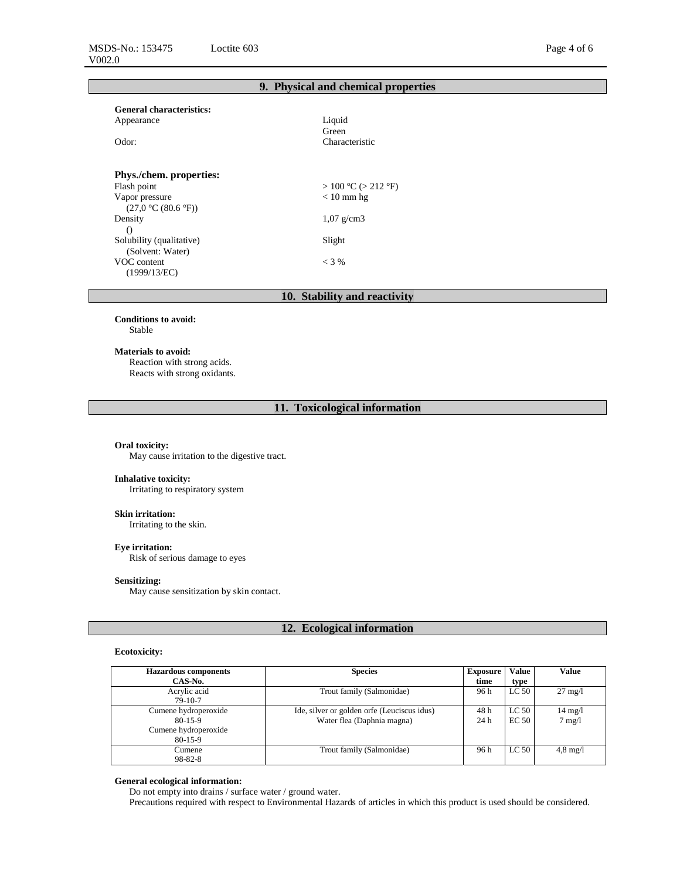# **9. Physical and chemical properties**

| <b>General characteristics:</b> |                          |  |  |
|---------------------------------|--------------------------|--|--|
| Appearance                      | Liquid                   |  |  |
|                                 | Green                    |  |  |
| Odor:                           | Characteristic           |  |  |
| <b>Phys./chem.</b> properties:  |                          |  |  |
| Flash point                     | $> 100$ °C ( $> 212$ °F) |  |  |
| Vapor pressure                  | $< 10$ mm hg             |  |  |
| (27.0 °C (80.6 °F))             |                          |  |  |
| Density                         | $1,07 \text{ g/cm}$ 3    |  |  |
| $\left( \right)$                |                          |  |  |
| Solubility (qualitative)        | Slight                   |  |  |
| (Solvent: Water)                |                          |  |  |
| VOC content                     | $<$ 3 %                  |  |  |
| (1999/13/EC)                    |                          |  |  |

# **10. Stability and reactivity**

**Conditions to avoid:** Stable

#### **Materials to avoid:**

Reaction with strong acids. Reacts with strong oxidants.

# **11. Toxicological information**

## **Oral toxicity:**

May cause irritation to the digestive tract.

## **Inhalative toxicity:**

Irritating to respiratory system

## **Skin irritation:**

Irritating to the skin.

## **Eye irritation:**  Risk of serious damage to eyes

## **Sensitizing:**

May cause sensitization by skin contact.

# **12. Ecological information**

# **Ecotoxicity:**

| <b>Hazardous components</b>                                          | <b>Species</b>                                                            | <b>Exposure</b> | <b>Value</b>              | Value                                 |
|----------------------------------------------------------------------|---------------------------------------------------------------------------|-----------------|---------------------------|---------------------------------------|
| CAS-No.                                                              |                                                                           | time            | type                      |                                       |
| Acrylic acid<br>$79-10-7$                                            | Trout family (Salmonidae)                                                 | 96 h            | LC <sub>50</sub>          | $27 \text{ mg}/l$                     |
| Cumene hydroperoxide<br>80-15-9<br>Cumene hydroperoxide<br>$80-15-9$ | Ide, silver or golden orfe (Leuciscus idus)<br>Water flea (Daphnia magna) | 48 h<br>24h     | LC <sub>50</sub><br>EC 50 | $14 \text{ mg}/l$<br>$7 \text{ mg}/1$ |
| Cumene<br>98-82-8                                                    | Trout family (Salmonidae)                                                 | 96 h            | LC <sub>50</sub>          | $4.8 \text{ mg}/1$                    |

# **General ecological information:**

Do not empty into drains / surface water / ground water.

Precautions required with respect to Environmental Hazards of articles in which this product is used should be considered.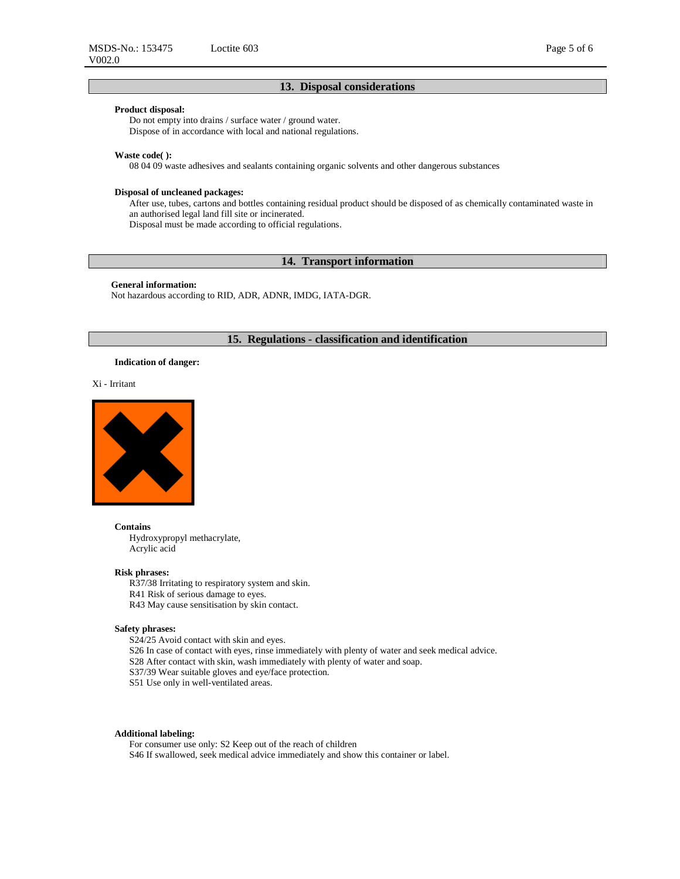# **Product disposal:**

Do not empty into drains / surface water / ground water. Dispose of in accordance with local and national regulations.

### **Waste code( ):**

08 04 09 waste adhesives and sealants containing organic solvents and other dangerous substances

### **Disposal of uncleaned packages:**

After use, tubes, cartons and bottles containing residual product should be disposed of as chemically contaminated waste in an authorised legal land fill site or incinerated. Disposal must be made according to official regulations.

# **14. Transport information**

### **General information:**

Not hazardous according to RID, ADR, ADNR, IMDG, IATA-DGR.

# **15. Regulations - classification and identification**

### **Indication of danger:**

Xi - Irritant



### **Contains**

Hydroxypropyl methacrylate, Acrylic acid

# **Risk phrases:**

R37/38 Irritating to respiratory system and skin.

- R41 Risk of serious damage to eyes.
- R43 May cause sensitisation by skin contact.

### **Safety phrases:**

S24/25 Avoid contact with skin and eyes.

S26 In case of contact with eyes, rinse immediately with plenty of water and seek medical advice. S28 After contact with skin, wash immediately with plenty of water and soap.

S37/39 Wear suitable gloves and eye/face protection.

S51 Use only in well-ventilated areas.

# **Additional labeling:**

For consumer use only: S2 Keep out of the reach of children S46 If swallowed, seek medical advice immediately and show this container or label.